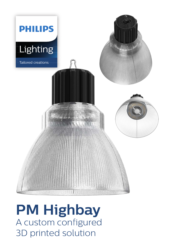

# **PM Highbay** A custom configured 3D printed solution